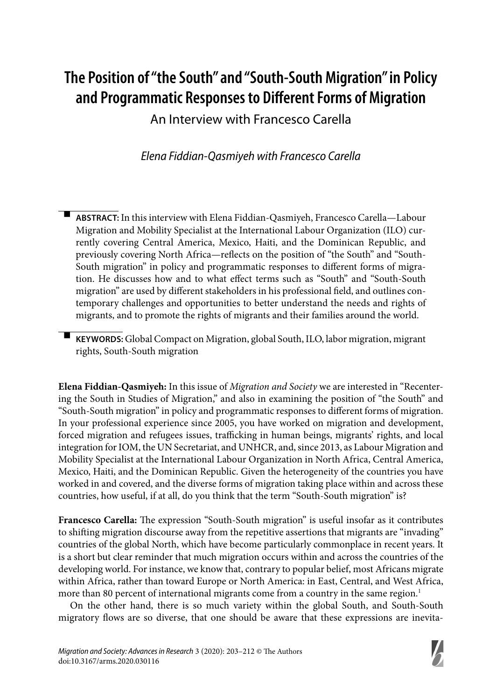## **The Position of "the South" and "South-South Migration" in Policy and Programmatic Responses to Different Forms of Migration**

An Interview with Francesco Carella

Elena Fiddian-Qasmiyeh with Francesco Carella

- **ABSTRACT:** In this interview with Elena Fiddian-Qasmiyeh, Francesco Carella—Labour Migration and Mobility Specialist at the International Labour Organization (ILO) currently covering Central America, Mexico, Haiti, and the Dominican Republic, and previously covering North Africa—reflects on the position of "the South" and "South-South migration" in policy and programmatic responses to different forms of migration. He discusses how and to what effect terms such as "South" and "South-South migration" are used by different stakeholders in his professional field, and outlines contemporary challenges and opportunities to better understand the needs and rights of migrants, and to promote the rights of migrants and their families around the world.

- **KEYWORDS:** Global Compact on Migration, global South, ILO, labor migration, migrant rights, South-South migration

**Elena Fiddian-Qasmiyeh:** In this issue of *Migration and Society* we are interested in "Recentering the South in Studies of Migration," and also in examining the position of "the South" and "South-South migration" in policy and programmatic responses to different forms of migration. In your professional experience since 2005, you have worked on migration and development, forced migration and refugees issues, trafficking in human beings, migrants' rights, and local integration for IOM, the UN Secretariat, and UNHCR, and, since 2013, as Labour Migration and Mobility Specialist at the International Labour Organization in North Africa, Central America, Mexico, Haiti, and the Dominican Republic. Given the heterogeneity of the countries you have worked in and covered, and the diverse forms of migration taking place within and across these countries, how useful, if at all, do you think that the term "South-South migration" is?

Francesco Carella: The expression "South-South migration" is useful insofar as it contributes to shifting migration discourse away from the repetitive assertions that migrants are "invading" countries of the global North, which have become particularly commonplace in recent years. It is a short but clear reminder that much migration occurs within and across the countries of the developing world. For instance, we know that, contrary to popular belief, most Africans migrate within Africa, rather than toward Europe or North America: in East, Central, and West Africa, more than 80 percent of international migrants come from a country in the same region.<sup>1</sup>

On the other hand, there is so much variety within the global South, and South-South migratory flows are so diverse, that one should be aware that these expressions are inevita-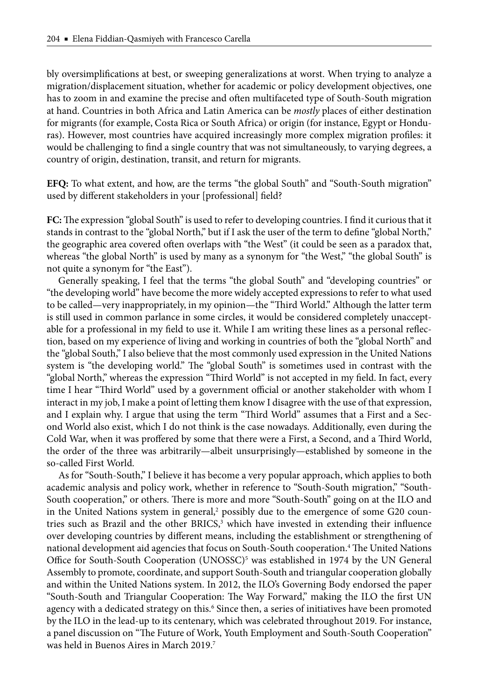bly oversimplifications at best, or sweeping generalizations at worst. When trying to analyze a migration/displacement situation, whether for academic or policy development objectives, one has to zoom in and examine the precise and often multifaceted type of South-South migration at hand. Countries in both Africa and Latin America can be *mostly* places of either destination for migrants (for example, Costa Rica or South Africa) or origin (for instance, Egypt or Honduras). However, most countries have acquired increasingly more complex migration profiles: it would be challenging to find a single country that was not simultaneously, to varying degrees, a country of origin, destination, transit, and return for migrants.

**EFQ:** To what extent, and how, are the terms "the global South" and "South-South migration" used by different stakeholders in your [professional] field?

FC: The expression "global South" is used to refer to developing countries. I find it curious that it stands in contrast to the "global North," but if I ask the user of the term to define "global North," the geographic area covered often overlaps with "the West" (it could be seen as a paradox that, whereas "the global North" is used by many as a synonym for "the West," "the global South" is not quite a synonym for "the East").

Generally speaking, I feel that the terms "the global South" and "developing countries" or "the developing world" have become the more widely accepted expressions to refer to what used to be called—very inappropriately, in my opinion—the "Third World." Although the latter term is still used in common parlance in some circles, it would be considered completely unacceptable for a professional in my field to use it. While I am writing these lines as a personal reflection, based on my experience of living and working in countries of both the "global North" and the "global South," I also believe that the most commonly used expression in the United Nations system is "the developing world." The "global South" is sometimes used in contrast with the "global North," whereas the expression "Third World" is not accepted in my field. In fact, every time I hear "Third World" used by a government official or another stakeholder with whom I interact in my job, I make a point of letting them know I disagree with the use of that expression, and I explain why. I argue that using the term "Third World" assumes that a First and a Second World also exist, which I do not think is the case nowadays. Additionally, even during the Cold War, when it was proffered by some that there were a First, a Second, and a Third World, the order of the three was arbitrarily—albeit unsurprisingly—established by someone in the so-called First World.

As for "South-South," I believe it has become a very popular approach, which applies to both academic analysis and policy work, whether in reference to "South-South migration," "South-South cooperation," or others. There is more and more "South-South" going on at the ILO and in the United Nations system in general,<sup>2</sup> possibly due to the emergence of some G20 countries such as Brazil and the other BRICS, $3$  which have invested in extending their influence over developing countries by different means, including the establishment or strengthening of national development aid agencies that focus on South-South cooperation.<sup>4</sup> The United Nations Office for South-South Cooperation (UNOSSC)<sup>5</sup> was established in 1974 by the UN General Assembly to promote, coordinate, and support South-South and triangular cooperation globally and within the United Nations system. In 2012, the ILO's Governing Body endorsed the paper "South-South and Triangular Cooperation: The Way Forward," making the ILO the first UN agency with a dedicated strategy on this.<sup>6</sup> Since then, a series of initiatives have been promoted by the ILO in the lead-up to its centenary, which was celebrated throughout 2019. For instance, a panel discussion on "The Future of Work, Youth Employment and South-South Cooperation" was held in Buenos Aires in March 2019.7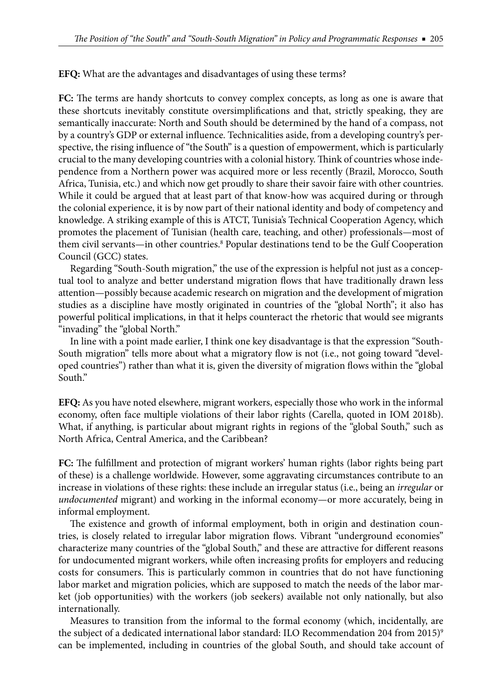## **EFQ:** What are the advantages and disadvantages of using these terms?

FC: The terms are handy shortcuts to convey complex concepts, as long as one is aware that these shortcuts inevitably constitute oversimplifications and that, strictly speaking, they are semantically inaccurate: North and South should be determined by the hand of a compass, not by a country's GDP or external influence. Technicalities aside, from a developing country's perspective, the rising influence of "the South" is a question of empowerment, which is particularly crucial to the many developing countries with a colonial history. Think of countries whose independence from a Northern power was acquired more or less recently (Brazil, Morocco, South Africa, Tunisia, etc.) and which now get proudly to share their savoir faire with other countries. While it could be argued that at least part of that know-how was acquired during or through the colonial experience, it is by now part of their national identity and body of competency and knowledge. A striking example of this is ATCT, Tunisia's Technical Cooperation Agency, which promotes the placement of Tunisian (health care, teaching, and other) professionals—most of them civil servants—in other countries.<sup>8</sup> Popular destinations tend to be the Gulf Cooperation Council (GCC) states.

Regarding "South-South migration," the use of the expression is helpful not just as a conceptual tool to analyze and better understand migration flows that have traditionally drawn less attention—possibly because academic research on migration and the development of migration studies as a discipline have mostly originated in countries of the "global North"; it also has powerful political implications, in that it helps counteract the rhetoric that would see migrants "invading" the "global North."

In line with a point made earlier, I think one key disadvantage is that the expression "South-South migration" tells more about what a migratory flow is not (i.e., not going toward "developed countries") rather than what it is, given the diversity of migration flows within the "global South."

**EFQ:** As you have noted elsewhere, migrant workers, especially those who work in the informal economy, often face multiple violations of their labor rights (Carella, quoted in IOM 2018b). What, if anything, is particular about migrant rights in regions of the "global South," such as North Africa, Central America, and the Caribbean?

FC: The fulfillment and protection of migrant workers' human rights (labor rights being part of these) is a challenge worldwide. However, some aggravating circumstances contribute to an increase in violations of these rights: these include an irregular status (i.e., being an *irregular* or *undocumented* migrant) and working in the informal economy—or more accurately, being in informal employment.

The existence and growth of informal employment, both in origin and destination countries, is closely related to irregular labor migration flows. Vibrant "underground economies" characterize many countries of the "global South," and these are attractive for different reasons for undocumented migrant workers, while often increasing profits for employers and reducing costs for consumers. This is particularly common in countries that do not have functioning labor market and migration policies, which are supposed to match the needs of the labor market (job opportunities) with the workers (job seekers) available not only nationally, but also internationally.

Measures to transition from the informal to the formal economy (which, incidentally, are the subject of a dedicated international labor standard: ILO Recommendation 204 from 2015)<sup>9</sup> can be implemented, including in countries of the global South, and should take account of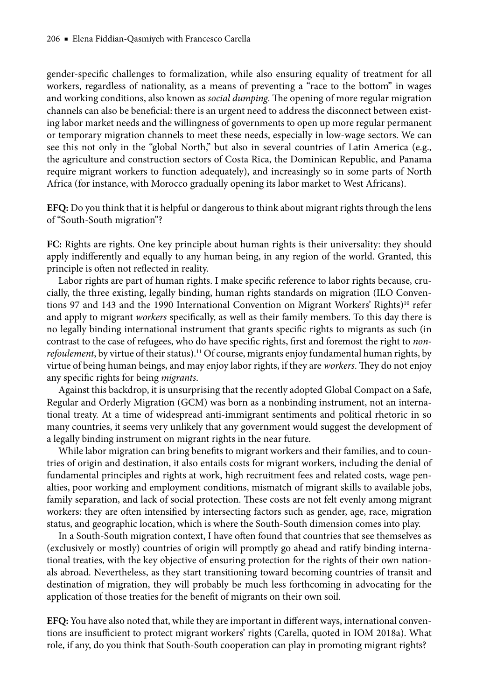gender-specific challenges to formalization, while also ensuring equality of treatment for all workers, regardless of nationality, as a means of preventing a "race to the bottom" in wages and working conditions, also known as *social dumping*. The opening of more regular migration channels can also be beneficial: there is an urgent need to address the disconnect between existing labor market needs and the willingness of governments to open up more regular permanent or temporary migration channels to meet these needs, especially in low-wage sectors. We can see this not only in the "global North," but also in several countries of Latin America (e.g., the agriculture and construction sectors of Costa Rica, the Dominican Republic, and Panama require migrant workers to function adequately), and increasingly so in some parts of North Africa (for instance, with Morocco gradually opening its labor market to West Africans).

**EFQ:** Do you think that it is helpful or dangerous to think about migrant rights through the lens of "South-South migration"?

**FC:** Rights are rights. One key principle about human rights is their universality: they should apply indifferently and equally to any human being, in any region of the world. Granted, this principle is often not reflected in reality.

Labor rights are part of human rights. I make specific reference to labor rights because, crucially, the three existing, legally binding, human rights standards on migration (ILO Conventions 97 and 143 and the 1990 International Convention on Migrant Workers' Rights)<sup>10</sup> refer and apply to migrant *workers* specifically, as well as their family members. To this day there is no legally binding international instrument that grants specific rights to migrants as such (in contrast to the case of refugees, who do have specific rights, first and foremost the right to *nonrefoulement*, by virtue of their status).11 Of course, migrants enjoy fundamental human rights, by virtue of being human beings, and may enjoy labor rights, if they are *workers*. They do not enjoy any specific rights for being *migrants*.

Against this backdrop, it is unsurprising that the recently adopted Global Compact on a Safe, Regular and Orderly Migration (GCM) was born as a nonbinding instrument, not an international treaty. At a time of widespread anti-immigrant sentiments and political rhetoric in so many countries, it seems very unlikely that any government would suggest the development of a legally binding instrument on migrant rights in the near future.

While labor migration can bring benefits to migrant workers and their families, and to countries of origin and destination, it also entails costs for migrant workers, including the denial of fundamental principles and rights at work, high recruitment fees and related costs, wage penalties, poor working and employment conditions, mismatch of migrant skills to available jobs, family separation, and lack of social protection. These costs are not felt evenly among migrant workers: they are often intensified by intersecting factors such as gender, age, race, migration status, and geographic location, which is where the South-South dimension comes into play.

In a South-South migration context, I have often found that countries that see themselves as (exclusively or mostly) countries of origin will promptly go ahead and ratify binding international treaties, with the key objective of ensuring protection for the rights of their own nationals abroad. Nevertheless, as they start transitioning toward becoming countries of transit and destination of migration, they will probably be much less forthcoming in advocating for the application of those treaties for the benefit of migrants on their own soil.

**EFQ:** You have also noted that, while they are important in different ways, international conventions are insufficient to protect migrant workers' rights (Carella, quoted in IOM 2018a). What role, if any, do you think that South-South cooperation can play in promoting migrant rights?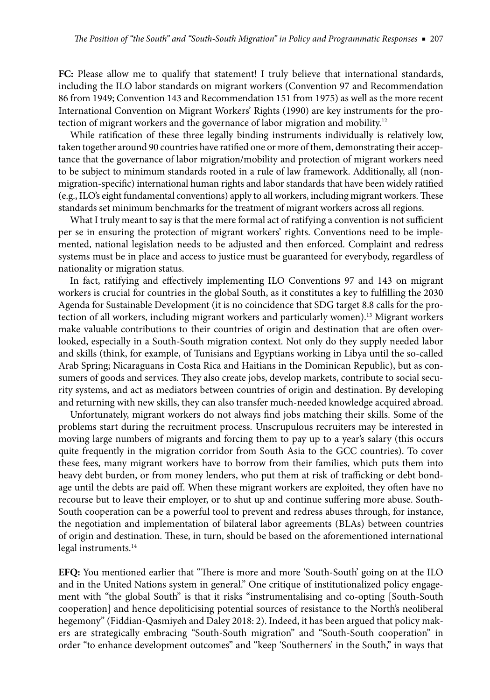**FC:** Please allow me to qualify that statement! I truly believe that international standards, including the ILO labor standards on migrant workers (Convention 97 and Recommendation 86 from 1949; Convention 143 and Recommendation 151 from 1975) as well as the more recent International Convention on Migrant Workers' Rights (1990) are key instruments for the protection of migrant workers and the governance of labor migration and mobility.<sup>12</sup>

While ratification of these three legally binding instruments individually is relatively low, taken together around 90 countries have ratified one or more of them, demonstrating their acceptance that the governance of labor migration/mobility and protection of migrant workers need to be subject to minimum standards rooted in a rule of law framework. Additionally, all (nonmigration-specific) international human rights and labor standards that have been widely ratified (e.g., ILO's eight fundamental conventions) apply to all workers, including migrant workers. These standards set minimum benchmarks for the treatment of migrant workers across all regions.

What I truly meant to say is that the mere formal act of ratifying a convention is not sufficient per se in ensuring the protection of migrant workers' rights. Conventions need to be implemented, national legislation needs to be adjusted and then enforced. Complaint and redress systems must be in place and access to justice must be guaranteed for everybody, regardless of nationality or migration status.

In fact, ratifying and effectively implementing ILO Conventions 97 and 143 on migrant workers is crucial for countries in the global South, as it constitutes a key to fulfilling the 2030 Agenda for Sustainable Development (it is no coincidence that SDG target 8.8 calls for the protection of all workers, including migrant workers and particularly women).13 Migrant workers make valuable contributions to their countries of origin and destination that are often overlooked, especially in a South-South migration context. Not only do they supply needed labor and skills (think, for example, of Tunisians and Egyptians working in Libya until the so-called Arab Spring; Nicaraguans in Costa Rica and Haitians in the Dominican Republic), but as consumers of goods and services. They also create jobs, develop markets, contribute to social security systems, and act as mediators between countries of origin and destination. By developing and returning with new skills, they can also transfer much-needed knowledge acquired abroad.

Unfortunately, migrant workers do not always find jobs matching their skills. Some of the problems start during the recruitment process. Unscrupulous recruiters may be interested in moving large numbers of migrants and forcing them to pay up to a year's salary (this occurs quite frequently in the migration corridor from South Asia to the GCC countries). To cover these fees, many migrant workers have to borrow from their families, which puts them into heavy debt burden, or from money lenders, who put them at risk of trafficking or debt bondage until the debts are paid off. When these migrant workers are exploited, they often have no recourse but to leave their employer, or to shut up and continue suffering more abuse. South-South cooperation can be a powerful tool to prevent and redress abuses through, for instance, the negotiation and implementation of bilateral labor agreements (BLAs) between countries of origin and destination. These, in turn, should be based on the aforementioned international legal instruments.<sup>14</sup>

**EFQ:** You mentioned earlier that "There is more and more 'South-South' going on at the ILO and in the United Nations system in general." One critique of institutionalized policy engagement with "the global South" is that it risks "instrumentalising and co-opting [South-South cooperation] and hence depoliticising potential sources of resistance to the North's neoliberal hegemony" (Fiddian-Qasmiyeh and Daley 2018: 2). Indeed, it has been argued that policy makers are strategically embracing "South-South migration" and "South-South cooperation" in order "to enhance development outcomes" and "keep 'Southerners' in the South," in ways that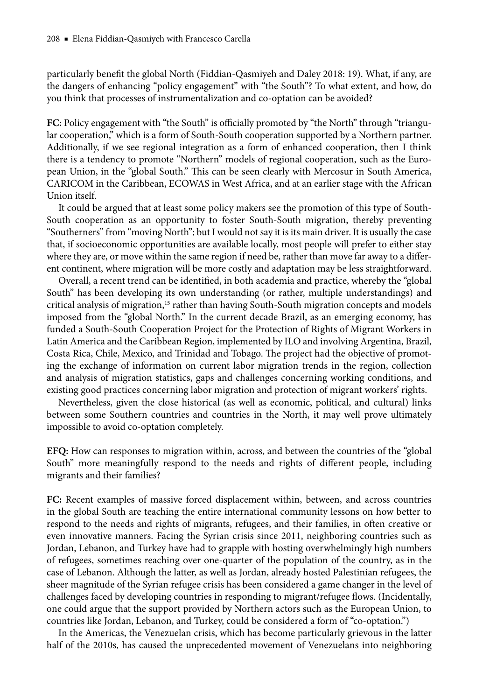particularly benefit the global North (Fiddian-Qasmiyeh and Daley 2018: 19). What, if any, are the dangers of enhancing "policy engagement" with "the South"? To what extent, and how, do you think that processes of instrumentalization and co-optation can be avoided?

FC: Policy engagement with "the South" is officially promoted by "the North" through "triangular cooperation," which is a form of South-South cooperation supported by a Northern partner. Additionally, if we see regional integration as a form of enhanced cooperation, then I think there is a tendency to promote "Northern" models of regional cooperation, such as the European Union, in the "global South." This can be seen clearly with Mercosur in South America, CARICOM in the Caribbean, ECOWAS in West Africa, and at an earlier stage with the African Union itself.

It could be argued that at least some policy makers see the promotion of this type of South-South cooperation as an opportunity to foster South-South migration, thereby preventing "Southerners" from "moving North"; but I would not say it is its main driver. It is usually the case that, if socioeconomic opportunities are available locally, most people will prefer to either stay where they are, or move within the same region if need be, rather than move far away to a different continent, where migration will be more costly and adaptation may be less straightforward.

Overall, a recent trend can be identified, in both academia and practice, whereby the "global South" has been developing its own understanding (or rather, multiple understandings) and critical analysis of migration, $15$  rather than having South-South migration concepts and models imposed from the "global North." In the current decade Brazil, as an emerging economy, has funded a South-South Cooperation Project for the Protection of Rights of Migrant Workers in Latin America and the Caribbean Region, implemented by ILO and involving Argentina, Brazil, Costa Rica, Chile, Mexico, and Trinidad and Tobago. The project had the objective of promoting the exchange of information on current labor migration trends in the region, collection and analysis of migration statistics, gaps and challenges concerning working conditions, and existing good practices concerning labor migration and protection of migrant workers' rights.

Nevertheless, given the close historical (as well as economic, political, and cultural) links between some Southern countries and countries in the North, it may well prove ultimately impossible to avoid co-optation completely.

**EFQ:** How can responses to migration within, across, and between the countries of the "global South" more meaningfully respond to the needs and rights of different people, including migrants and their families?

**FC:** Recent examples of massive forced displacement within, between, and across countries in the global South are teaching the entire international community lessons on how better to respond to the needs and rights of migrants, refugees, and their families, in often creative or even innovative manners. Facing the Syrian crisis since 2011, neighboring countries such as Jordan, Lebanon, and Turkey have had to grapple with hosting overwhelmingly high numbers of refugees, sometimes reaching over one-quarter of the population of the country, as in the case of Lebanon. Although the latter, as well as Jordan, already hosted Palestinian refugees, the sheer magnitude of the Syrian refugee crisis has been considered a game changer in the level of challenges faced by developing countries in responding to migrant/refugee flows. (Incidentally, one could argue that the support provided by Northern actors such as the European Union, to countries like Jordan, Lebanon, and Turkey, could be considered a form of "co-optation.")

In the Americas, the Venezuelan crisis, which has become particularly grievous in the latter half of the 2010s, has caused the unprecedented movement of Venezuelans into neighboring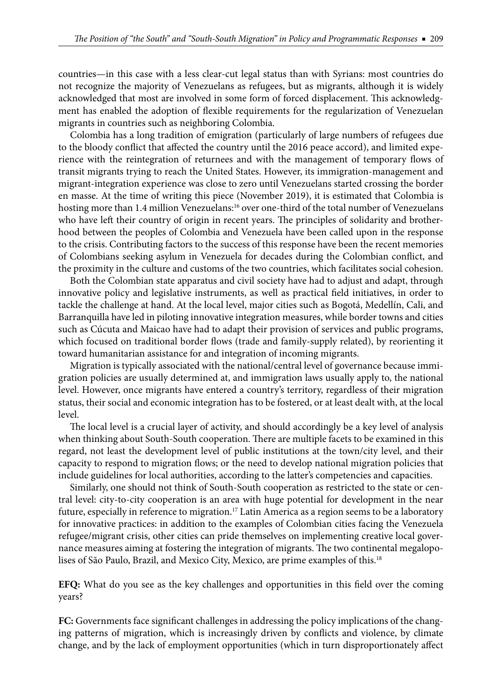countries—in this case with a less clear-cut legal status than with Syrians: most countries do not recognize the majority of Venezuelans as refugees, but as migrants, although it is widely acknowledged that most are involved in some form of forced displacement. This acknowledgment has enabled the adoption of flexible requirements for the regularization of Venezuelan migrants in countries such as neighboring Colombia.

Colombia has a long tradition of emigration (particularly of large numbers of refugees due to the bloody conflict that affected the country until the 2016 peace accord), and limited experience with the reintegration of returnees and with the management of temporary flows of transit migrants trying to reach the United States. However, its immigration-management and migrant-integration experience was close to zero until Venezuelans started crossing the border en masse. At the time of writing this piece (November 2019), it is estimated that Colombia is hosting more than 1.4 million Venezuelans:<sup>16</sup> over one-third of the total number of Venezuelans who have left their country of origin in recent years. The principles of solidarity and brotherhood between the peoples of Colombia and Venezuela have been called upon in the response to the crisis. Contributing factors to the success of this response have been the recent memories of Colombians seeking asylum in Venezuela for decades during the Colombian conflict, and the proximity in the culture and customs of the two countries, which facilitates social cohesion.

Both the Colombian state apparatus and civil society have had to adjust and adapt, through innovative policy and legislative instruments, as well as practical field initiatives, in order to tackle the challenge at hand. At the local level, major cities such as Bogotá, Medellín, Cali, and Barranquilla have led in piloting innovative integration measures, while border towns and cities such as Cúcuta and Maicao have had to adapt their provision of services and public programs, which focused on traditional border flows (trade and family-supply related), by reorienting it toward humanitarian assistance for and integration of incoming migrants.

Migration is typically associated with the national/central level of governance because immigration policies are usually determined at, and immigration laws usually apply to, the national level. However, once migrants have entered a country's territory, regardless of their migration status, their social and economic integration has to be fostered, or at least dealt with, at the local level.

The local level is a crucial layer of activity, and should accordingly be a key level of analysis when thinking about South-South cooperation. There are multiple facets to be examined in this regard, not least the development level of public institutions at the town/city level, and their capacity to respond to migration flows; or the need to develop national migration policies that include guidelines for local authorities, according to the latter's competencies and capacities.

Similarly, one should not think of South-South cooperation as restricted to the state or central level: city-to-city cooperation is an area with huge potential for development in the near future, especially in reference to migration.<sup>17</sup> Latin America as a region seems to be a laboratory for innovative practices: in addition to the examples of Colombian cities facing the Venezuela refugee/migrant crisis, other cities can pride themselves on implementing creative local governance measures aiming at fostering the integration of migrants. The two continental megalopolises of São Paulo, Brazil, and Mexico City, Mexico, are prime examples of this.<sup>18</sup>

**EFQ:** What do you see as the key challenges and opportunities in this field over the coming years?

FC: Governments face significant challenges in addressing the policy implications of the changing patterns of migration, which is increasingly driven by conflicts and violence, by climate change, and by the lack of employment opportunities (which in turn disproportionately affect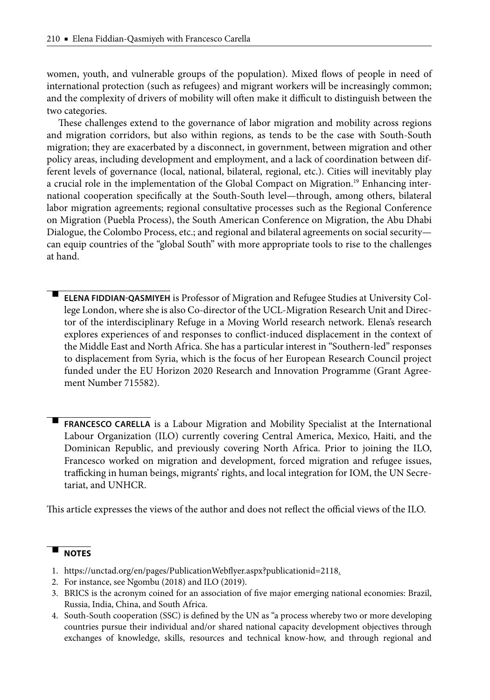women, youth, and vulnerable groups of the population). Mixed flows of people in need of international protection (such as refugees) and migrant workers will be increasingly common; and the complexity of drivers of mobility will often make it difficult to distinguish between the two categories.

These challenges extend to the governance of labor migration and mobility across regions and migration corridors, but also within regions, as tends to be the case with South-South migration; they are exacerbated by a disconnect, in government, between migration and other policy areas, including development and employment, and a lack of coordination between different levels of governance (local, national, bilateral, regional, etc.). Cities will inevitably play a crucial role in the implementation of the Global Compact on Migration.<sup>19</sup> Enhancing international cooperation specifically at the South-South level—through, among others, bilateral labor migration agreements; regional consultative processes such as the Regional Conference on Migration (Puebla Process), the South American Conference on Migration, the Abu Dhabi Dialogue, the Colombo Process, etc.; and regional and bilateral agreements on social security can equip countries of the "global South" with more appropriate tools to rise to the challenges at hand.

- **ELENA FIDDIANQASMIYEH** is Professor of Migration and Refugee Studies at University College London, where she is also Co-director of the UCL-Migration Research Unit and Director of the interdisciplinary Refuge in a Moving World research network. Elena's research explores experiences of and responses to conflict-induced displacement in the context of the Middle East and North Africa. She has a particular interest in "Southern-led" responses to displacement from Syria, which is the focus of her European Research Council project funded under the EU Horizon 2020 Research and Innovation Programme (Grant Agreement Number 715582).

 **FRANCESCO CARELLA** is a Labour Migration and Mobility Specialist at the International Labour Organization (ILO) currently covering Central America, Mexico, Haiti, and the Dominican Republic, and previously covering North Africa. Prior to joining the ILO, Francesco worked on migration and development, forced migration and refugee issues, trafficking in human beings, migrants' rights, and local integration for IOM, the UN Secretariat, and UNHCR.

This article expresses the views of the author and does not reflect the official views of the ILO.

## - **NOTES**

-

- 1. https://unctad.org/en/pages/PublicationWebflyer.aspx?publicationid=2118.
- 2. For instance, see Ngombu (2018) and ILO (2019).
- 3. BRICS is the acronym coined for an association of five major emerging national economies: Brazil, Russia, India, China, and South Africa.
- 4. South-South cooperation (SSC) is defined by the UN as "a process whereby two or more developing countries pursue their individual and/or shared national capacity development objectives through exchanges of knowledge, skills, resources and technical know-how, and through regional and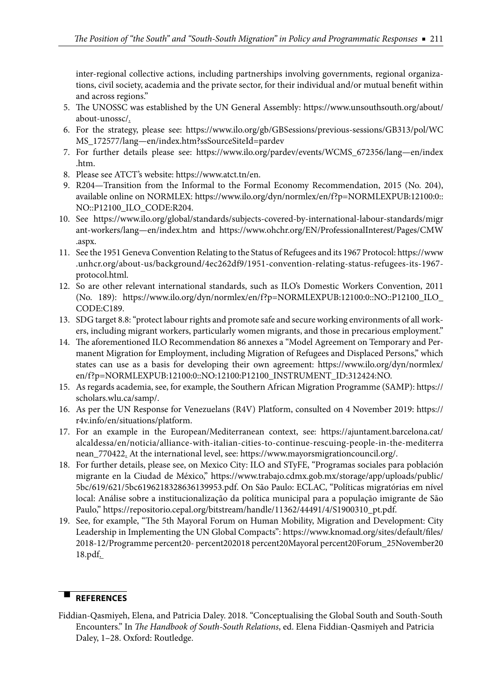inter-regional collective actions, including partnerships involving governments, regional organizations, civil society, academia and the private sector, for their individual and/or mutual benefit within and across regions."

- 5. The UNOSSC was established by the UN General Assembly: https://www.unsouthsouth.org/about/ about-unossc/.
- 6. For the strategy, please see: https://www.ilo.org/gb/GBSessions/previous-sessions/GB313/pol/WC MS\_172577/lang—en/index.htm?ssSourceSiteId=pardev
- 7. For further details please see: https://www.ilo.org/pardev/events/WCMS\_672356/lang—en/index .htm.
- 8. Please see ATCT's website: https://www.atct.tn/en.
- 9. R204—Transition from the Informal to the Formal Economy Recommendation, 2015 (No. 204), available online on NORMLEX: https://www.ilo.org/dyn/normlex/en/f?p=NORMLEXPUB:12100:0:: NO::P12100\_ILO\_CODE:R204.
- 10. See https://www.ilo.org/global/standards/subjects-covered-by-international-labour-standards/migr ant-workers/lang—en/index.htm and https://www.ohchr.org/EN/ProfessionalInterest/Pages/CMW .aspx.
- 11. See the 1951 Geneva Convention Relating to the Status of Refugees and its 1967 Protocol: https://www .unhcr.org/about-us/background/4ec262df9/1951-convention-relating-status-refugees-its-1967 protocol.html.
- 12. So are other relevant international standards, such as ILO's Domestic Workers Convention, 2011 (No. 189): https://www.ilo.org/dyn/normlex/en/f?p=NORMLEXPUB:12100:0::NO::P12100\_ILO\_ CODE:C189.
- 13. SDG target 8.8: "protect labour rights and promote safe and secure working environments of all workers, including migrant workers, particularly women migrants, and those in precarious employment."
- 14. The aforementioned ILO Recommendation 86 annexes a "Model Agreement on Temporary and Permanent Migration for Employment, including Migration of Refugees and Displaced Persons," which states can use as a basis for developing their own agreement: https://www.ilo.org/dyn/normlex/ en/f?p=NORMLEXPUB:12100:0::NO:12100:P12100\_INSTRUMENT\_ID:312424:NO.
- 15. As regards academia, see, for example, the Southern African Migration Programme (SAMP): https:// scholars.wlu.ca/samp/.
- 16. As per the UN Response for Venezuelans (R4V) Platform, consulted on 4 November 2019: https:// r4v.info/en/situations/platform.
- 17. For an example in the European/Mediterranean context, see: https://ajuntament.barcelona.cat/ alcaldessa/en/noticia/alliance-with-italian-cities-to-continue-rescuing-people-in-the-mediterra nean\_770422. At the international level, see: https://www.mayorsmigrationcouncil.org/.
- 18. For further details, please see, on Mexico City: ILO and STyFE, "Programas sociales para población migrante en la Ciudad de México," https://www.trabajo.cdmx.gob.mx/storage/app/uploads/public/ 5bc/619/621/5bc6196218328636139953.pdf. On São Paulo: ECLAC, "Políticas migratórias em nível local: Análise sobre a institucionalização da política municipal para a população imigrante de São Paulo," https://repositorio.cepal.org/bitstream/handle/11362/44491/4/S1900310\_pt.pdf.
- 19. See, for example, "The 5th Mayoral Forum on Human Mobility, Migration and Development: City Leadership in Implementing the UN Global Compacts": https://www.knomad.org/sites/default/files/ 2018-12/Programme percent20- percent202018 percent20Mayoral percent20Forum\_25November20 18.pdf.

## - **REFERENCES**

Fiddian-Qasmiyeh, Elena, and Patricia Daley. 2018. "Conceptualising the Global South and South-South Encounters." In *The Handbook of South-South Relations*, ed. Elena Fiddian-Qasmiyeh and Patricia Daley, 1–28. Oxford: Routledge.